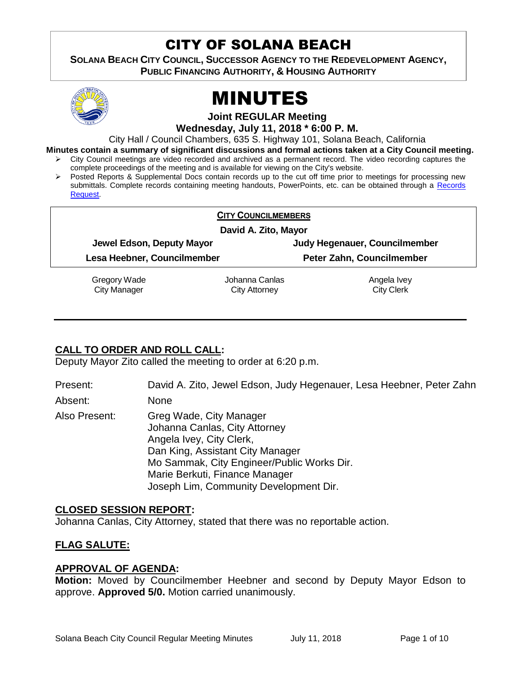# CITY OF SOLANA BEACH

**SOLANA BEACH CITY COUNCIL, SUCCESSOR AGENCY TO THE REDEVELOPMENT AGENCY, PUBLIC FINANCING AUTHORITY, & HOUSING AUTHORITY** 



# MINUTES

**Joint REGULAR Meeting**

**Wednesday, July 11, 2018 \* 6:00 P. M.**

City Hall / Council Chambers, 635 S. Highway 101, Solana Beach, California

**Minutes contain a summary of significant discussions and formal actions taken at a City Council meeting.**

- City Council meetings are video recorded and archived as a permanent record. The video recording captures the complete proceedings of the meeting and is available for viewing on the City's website.
- $\triangleright$  Posted Reports & Supplemental Docs contain records up to the cut off time prior to meetings for processing new submittals. Complete records containing meeting handouts, PowerPoints, etc. can be obtained through a [Records](http://www.ci.solana-beach.ca.us/index.asp?SEC=F5D45D10-70CE-4291-A27C-7BD633FC6742&Type=B_BASIC)  [Request.](http://www.ci.solana-beach.ca.us/index.asp?SEC=F5D45D10-70CE-4291-A27C-7BD633FC6742&Type=B_BASIC)

#### **CITY COUNCILMEMBERS**

**David A. Zito, Mayor**

**Jewel Edson, Deputy Mayor Judy Hegenauer, Councilmember**

**Lesa Heebner, Councilmember Peter Zahn, Councilmember**

Gregory Wade City Manager

Johanna Canlas City Attorney

Angela Ivey City Clerk

# **CALL TO ORDER AND ROLL CALL:**

Deputy Mayor Zito called the meeting to order at 6:20 p.m.

Present: David A. Zito, Jewel Edson, Judy Hegenauer, Lesa Heebner, Peter Zahn

Absent: None

Also Present: Greg Wade, City Manager Johanna Canlas, City Attorney Angela Ivey, City Clerk, Dan King, Assistant City Manager Mo Sammak, City Engineer/Public Works Dir. Marie Berkuti, Finance Manager Joseph Lim, Community Development Dir.

# **CLOSED SESSION REPORT:**

Johanna Canlas, City Attorney, stated that there was no reportable action.

# **FLAG SALUTE:**

# **APPROVAL OF AGENDA:**

**Motion:** Moved by Councilmember Heebner and second by Deputy Mayor Edson to approve. **Approved 5/0.** Motion carried unanimously.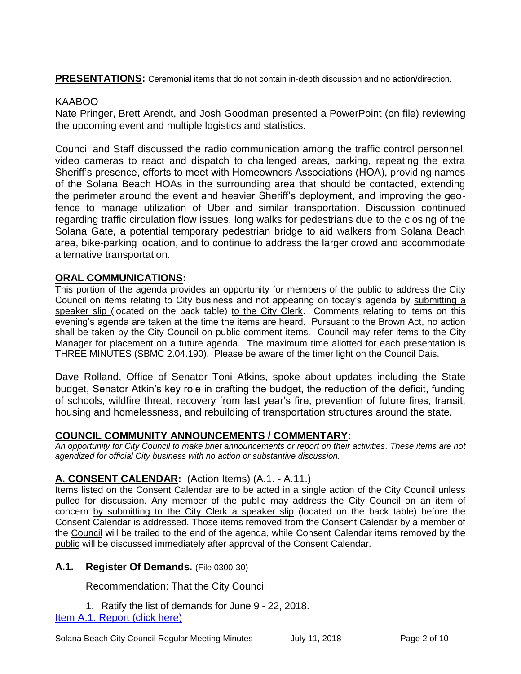**PRESENTATIONS:** Ceremonial items that do not contain in-depth discussion and no action/direction.

# KAABOO

Nate Pringer, Brett Arendt, and Josh Goodman presented a PowerPoint (on file) reviewing the upcoming event and multiple logistics and statistics.

Council and Staff discussed the radio communication among the traffic control personnel, video cameras to react and dispatch to challenged areas, parking, repeating the extra Sheriff's presence, efforts to meet with Homeowners Associations (HOA), providing names of the Solana Beach HOAs in the surrounding area that should be contacted, extending the perimeter around the event and heavier Sheriff's deployment, and improving the geofence to manage utilization of Uber and similar transportation. Discussion continued regarding traffic circulation flow issues, long walks for pedestrians due to the closing of the Solana Gate, a potential temporary pedestrian bridge to aid walkers from Solana Beach area, bike-parking location, and to continue to address the larger crowd and accommodate alternative transportation.

# **ORAL COMMUNICATIONS:**

This portion of the agenda provides an opportunity for members of the public to address the City Council on items relating to City business and not appearing on today's agenda by submitting a speaker slip (located on the back table) to the City Clerk. Comments relating to items on this evening's agenda are taken at the time the items are heard. Pursuant to the Brown Act, no action shall be taken by the City Council on public comment items. Council may refer items to the City Manager for placement on a future agenda. The maximum time allotted for each presentation is THREE MINUTES (SBMC 2.04.190). Please be aware of the timer light on the Council Dais.

Dave Rolland, Office of Senator Toni Atkins, spoke about updates including the State budget, Senator Atkin's key role in crafting the budget, the reduction of the deficit, funding of schools, wildfire threat, recovery from last year's fire, prevention of future fires, transit, housing and homelessness, and rebuilding of transportation structures around the state.

# **COUNCIL COMMUNITY ANNOUNCEMENTS / COMMENTARY:**

*An opportunity for City Council to make brief announcements or report on their activities. These items are not agendized for official City business with no action or substantive discussion.* 

# **A. CONSENT CALENDAR:** (Action Items) (A.1. - A.11.)

Items listed on the Consent Calendar are to be acted in a single action of the City Council unless pulled for discussion. Any member of the public may address the City Council on an item of concern by submitting to the City Clerk a speaker slip (located on the back table) before the Consent Calendar is addressed. Those items removed from the Consent Calendar by a member of the Council will be trailed to the end of the agenda, while Consent Calendar items removed by the public will be discussed immediately after approval of the Consent Calendar.

# **A.1. Register Of Demands.** (File 0300-30)

Recommendation: That the City Council

1. Ratify the list of demands for June 9 - 22, 2018. [Item A.1. Report \(click here\)](https://solanabeach.govoffice3.com/vertical/Sites/%7B840804C2-F869-4904-9AE3-720581350CE7%7D/uploads/Item_A.1._Report_(click_here)_-_07-11-18.PDF)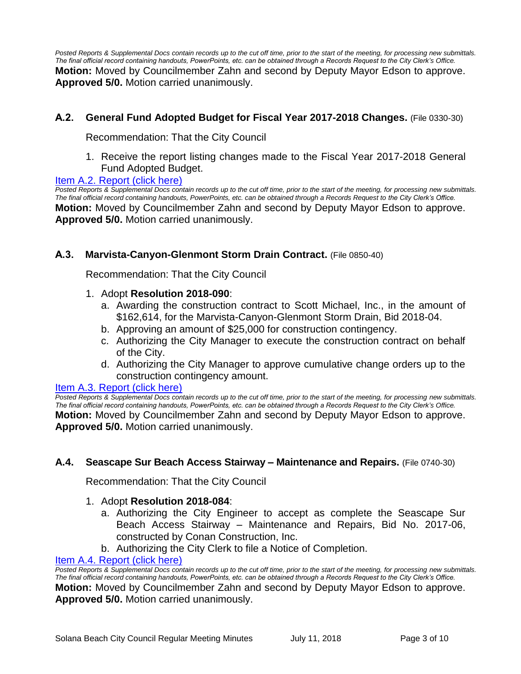*Posted Reports & Supplemental Docs contain records up to the cut off time, prior to the start of the meeting, for processing new submittals. The final official record containing handouts, PowerPoints, etc. can be obtained through a Records Request to the City Clerk's Office.* **Motion:** Moved by Councilmember Zahn and second by Deputy Mayor Edson to approve. **Approved 5/0.** Motion carried unanimously.

# **A.2. General Fund Adopted Budget for Fiscal Year 2017-2018 Changes.** (File 0330-30)

Recommendation: That the City Council

1. Receive the report listing changes made to the Fiscal Year 2017-2018 General Fund Adopted Budget.

#### [Item A.2. Report \(click here\)](https://solanabeach.govoffice3.com/vertical/Sites/%7B840804C2-F869-4904-9AE3-720581350CE7%7D/uploads/Item_A.2._Report_(click_here)_-_07-11-18.PDF)

*Posted Reports & Supplemental Docs contain records up to the cut off time, prior to the start of the meeting, for processing new submittals. The final official record containing handouts, PowerPoints, etc. can be obtained through a Records Request to the City Clerk's Office.* **Motion:** Moved by Councilmember Zahn and second by Deputy Mayor Edson to approve. **Approved 5/0.** Motion carried unanimously.

# **A.3. Marvista-Canyon-Glenmont Storm Drain Contract.** (File 0850-40)

Recommendation: That the City Council

# 1. Adopt **Resolution 2018-090**:

- a. Awarding the construction contract to Scott Michael, Inc., in the amount of \$162,614, for the Marvista-Canyon-Glenmont Storm Drain, Bid 2018-04.
- b. Approving an amount of \$25,000 for construction contingency.
- c. Authorizing the City Manager to execute the construction contract on behalf of the City.
- d. Authorizing the City Manager to approve cumulative change orders up to the construction contingency amount.

#### [Item A.3. Report \(click here\)](https://solanabeach.govoffice3.com/vertical/Sites/%7B840804C2-F869-4904-9AE3-720581350CE7%7D/uploads/Item_A.3._Report_(click_here)_-_07-11-18.PDF)

*Posted Reports & Supplemental Docs contain records up to the cut off time, prior to the start of the meeting, for processing new submittals. The final official record containing handouts, PowerPoints, etc. can be obtained through a Records Request to the City Clerk's Office.* **Motion:** Moved by Councilmember Zahn and second by Deputy Mayor Edson to approve. **Approved 5/0.** Motion carried unanimously.

# **A.4. Seascape Sur Beach Access Stairway – Maintenance and Repairs.** (File 0740-30)

Recommendation: That the City Council

# 1. Adopt **Resolution 2018-084**:

- a. Authorizing the City Engineer to accept as complete the Seascape Sur Beach Access Stairway – Maintenance and Repairs, Bid No. 2017-06, constructed by Conan Construction, Inc.
- b. Authorizing the City Clerk to file a Notice of Completion.

#### [Item A.4. Report \(click here\)](https://solanabeach.govoffice3.com/vertical/Sites/%7B840804C2-F869-4904-9AE3-720581350CE7%7D/uploads/Item_A.4._Report_(click_here)_-_07-11-18.PDF)

*Posted Reports & Supplemental Docs contain records up to the cut off time, prior to the start of the meeting, for processing new submittals. The final official record containing handouts, PowerPoints, etc. can be obtained through a Records Request to the City Clerk's Office.* **Motion:** Moved by Councilmember Zahn and second by Deputy Mayor Edson to approve. **Approved 5/0.** Motion carried unanimously.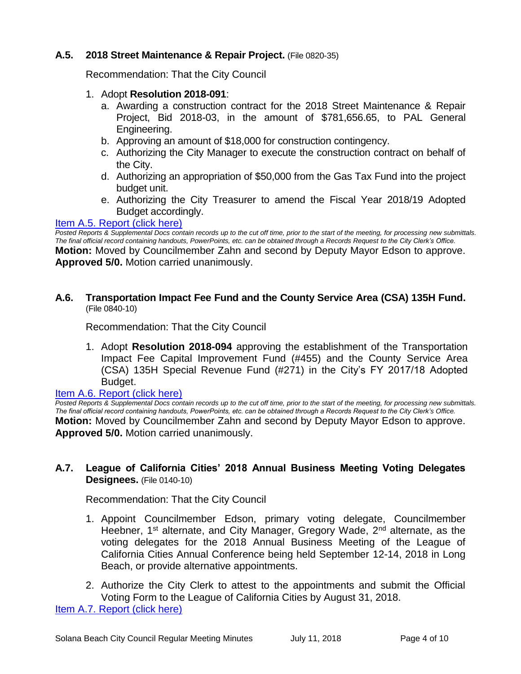# **A.5. 2018 Street Maintenance & Repair Project.** (File 0820-35)

Recommendation: That the City Council

- 1. Adopt **Resolution 2018-091**:
	- a. Awarding a construction contract for the 2018 Street Maintenance & Repair Project, Bid 2018-03, in the amount of \$781,656.65, to PAL General Engineering.
	- b. Approving an amount of \$18,000 for construction contingency.
	- c. Authorizing the City Manager to execute the construction contract on behalf of the City.
	- d. Authorizing an appropriation of \$50,000 from the Gas Tax Fund into the project budget unit.
	- e. Authorizing the City Treasurer to amend the Fiscal Year 2018/19 Adopted Budget accordingly.

#### [Item A.5. Report \(click](https://solanabeach.govoffice3.com/vertical/Sites/%7B840804C2-F869-4904-9AE3-720581350CE7%7D/uploads/Item_A.5._Report_(click_here)_-_07-11-18.PDF) here)

*Posted Reports & Supplemental Docs contain records up to the cut off time, prior to the start of the meeting, for processing new submittals. The final official record containing handouts, PowerPoints, etc. can be obtained through a Records Request to the City Clerk's Office.* **Motion:** Moved by Councilmember Zahn and second by Deputy Mayor Edson to approve. **Approved 5/0.** Motion carried unanimously.

# **A.6. Transportation Impact Fee Fund and the County Service Area (CSA) 135H Fund.** (File 0840-10)

Recommendation: That the City Council

1. Adopt **Resolution 2018-094** approving the establishment of the Transportation Impact Fee Capital Improvement Fund (#455) and the County Service Area (CSA) 135H Special Revenue Fund (#271) in the City's FY 2017/18 Adopted Budget.

# [Item A.6. Report \(click here\)](https://solanabeach.govoffice3.com/vertical/Sites/%7B840804C2-F869-4904-9AE3-720581350CE7%7D/uploads/Item_A.6._Report_(click_here)_-_07-11-18.PDF)

*Posted Reports & Supplemental Docs contain records up to the cut off time, prior to the start of the meeting, for processing new submittals. The final official record containing handouts, PowerPoints, etc. can be obtained through a Records Request to the City Clerk's Office.* **Motion:** Moved by Councilmember Zahn and second by Deputy Mayor Edson to approve. **Approved 5/0.** Motion carried unanimously.

# **A.7. League of California Cities' 2018 Annual Business Meeting Voting Delegates Designees.** (File 0140-10)

Recommendation: That the City Council

- 1. Appoint Councilmember Edson, primary voting delegate, Councilmember Heebner, 1<sup>st</sup> alternate, and City Manager, Gregory Wade, 2<sup>nd</sup> alternate, as the voting delegates for the 2018 Annual Business Meeting of the League of California Cities Annual Conference being held September 12-14, 2018 in Long Beach, or provide alternative appointments.
- 2. Authorize the City Clerk to attest to the appointments and submit the Official Voting Form to the League of California Cities by August 31, 2018.

[Item A.7. Report \(click here\)](https://solanabeach.govoffice3.com/vertical/Sites/%7B840804C2-F869-4904-9AE3-720581350CE7%7D/uploads/Item_A.7._Report_(click_here)_-_07-11-18.PDF)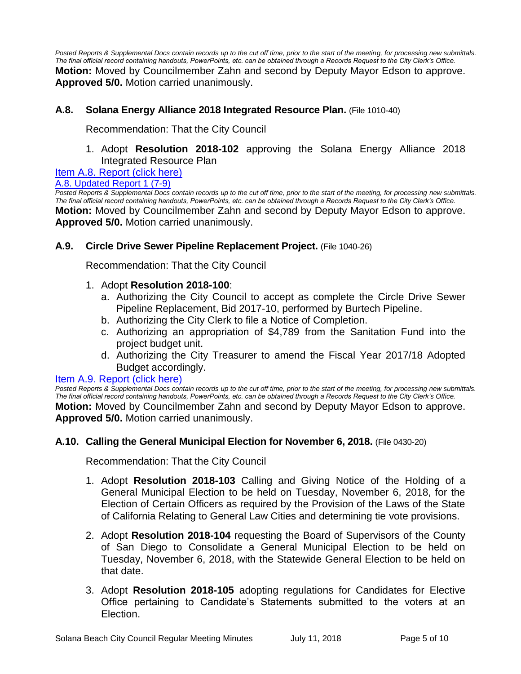*Posted Reports & Supplemental Docs contain records up to the cut off time, prior to the start of the meeting, for processing new submittals. The final official record containing handouts, PowerPoints, etc. can be obtained through a Records Request to the City Clerk's Office.* **Motion:** Moved by Councilmember Zahn and second by Deputy Mayor Edson to approve. **Approved 5/0.** Motion carried unanimously.

# **A.8. Solana Energy Alliance 2018 Integrated Resource Plan.** (File 1010-40)

Recommendation: That the City Council

1. Adopt **Resolution 2018-102** approving the Solana Energy Alliance 2018 Integrated Resource Plan

[Item A.8. Report \(click here\)](https://solanabeach.govoffice3.com/vertical/Sites/%7B840804C2-F869-4904-9AE3-720581350CE7%7D/uploads/Item_A.8._Report_(click_here)_-_07-11-18.PDF)

#### [A.8. Updated Report](https://solanabeach.govoffice3.com/vertical/Sites/%7B840804C2-F869-4904-9AE3-720581350CE7%7D/uploads/A.8._Staff_Report_Update_No1_-_7-9.pdf) 1 (7-9)

*Posted Reports & Supplemental Docs contain records up to the cut off time, prior to the start of the meeting, for processing new submittals. The final official record containing handouts, PowerPoints, etc. can be obtained through a Records Request to the City Clerk's Office.* **Motion:** Moved by Councilmember Zahn and second by Deputy Mayor Edson to approve. **Approved 5/0.** Motion carried unanimously.

# **A.9. Circle Drive Sewer Pipeline Replacement Project.** (File 1040-26)

Recommendation: That the City Council

# 1. Adopt **Resolution 2018-100**:

- a. Authorizing the City Council to accept as complete the Circle Drive Sewer Pipeline Replacement, Bid 2017-10, performed by Burtech Pipeline.
- b. Authorizing the City Clerk to file a Notice of Completion.
- c. Authorizing an appropriation of \$4,789 from the Sanitation Fund into the project budget unit.
- d. Authorizing the City Treasurer to amend the Fiscal Year 2017/18 Adopted Budget accordingly.

# [Item A.9. Report \(click here\)](https://solanabeach.govoffice3.com/vertical/Sites/%7B840804C2-F869-4904-9AE3-720581350CE7%7D/uploads/Item_A.9._Report_(click_here)_-_07-11-18.PDF)

*Posted Reports & Supplemental Docs contain records up to the cut off time, prior to the start of the meeting, for processing new submittals. The final official record containing handouts, PowerPoints, etc. can be obtained through a Records Request to the City Clerk's Office.* **Motion:** Moved by Councilmember Zahn and second by Deputy Mayor Edson to approve. **Approved 5/0.** Motion carried unanimously.

# **A.10. Calling the General Municipal Election for November 6, 2018.** (File 0430-20)

Recommendation: That the City Council

- 1. Adopt **Resolution 2018-103** Calling and Giving Notice of the Holding of a General Municipal Election to be held on Tuesday, November 6, 2018, for the Election of Certain Officers as required by the Provision of the Laws of the State of California Relating to General Law Cities and determining tie vote provisions.
- 2. Adopt **Resolution 2018-104** requesting the Board of Supervisors of the County of San Diego to Consolidate a General Municipal Election to be held on Tuesday, November 6, 2018, with the Statewide General Election to be held on that date.
- 3. Adopt **Resolution 2018-105** adopting regulations for Candidates for Elective Office pertaining to Candidate's Statements submitted to the voters at an Election.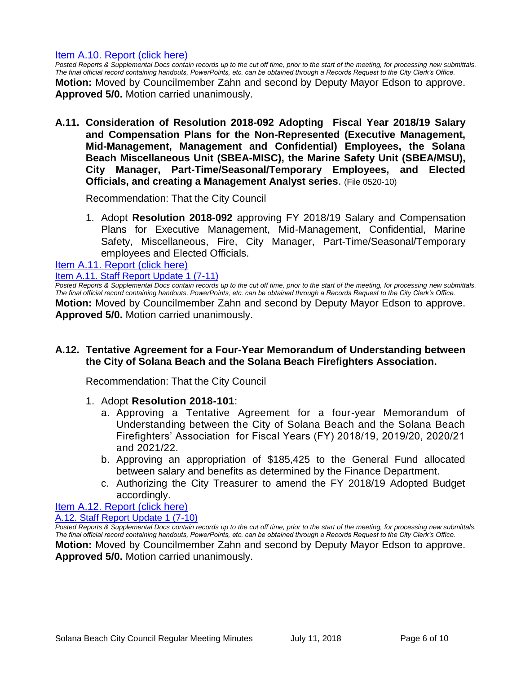#### [Item A.10. Report \(click here\)](https://solanabeach.govoffice3.com/vertical/Sites/%7B840804C2-F869-4904-9AE3-720581350CE7%7D/uploads/Item_A.10._Report_(click_here)_-_07-11-18.PDF)

*Posted Reports & Supplemental Docs contain records up to the cut off time, prior to the start of the meeting, for processing new submittals. The final official record containing handouts, PowerPoints, etc. can be obtained through a Records Request to the City Clerk's Office.* **Motion:** Moved by Councilmember Zahn and second by Deputy Mayor Edson to approve. **Approved 5/0.** Motion carried unanimously.

**A.11. Consideration of Resolution 2018-092 Adopting Fiscal Year 2018/19 Salary and Compensation Plans for the Non-Represented (Executive Management, Mid-Management, Management and Confidential) Employees, the Solana Beach Miscellaneous Unit (SBEA-MISC), the Marine Safety Unit (SBEA/MSU), City Manager, Part-Time/Seasonal/Temporary Employees, and Elected Officials, and creating a Management Analyst series**. (File 0520-10)

Recommendation: That the City Council

1. Adopt **Resolution 2018-092** approving FY 2018/19 Salary and Compensation Plans for Executive Management, Mid-Management, Confidential, Marine Safety, Miscellaneous, Fire, City Manager, Part-Time/Seasonal/Temporary employees and Elected Officials.

[Item A.11. Report \(click here\)](https://solanabeach.govoffice3.com/vertical/Sites/%7B840804C2-F869-4904-9AE3-720581350CE7%7D/uploads/Item_A.11._Report_(click_here)_07-11-18.PDF)

[Item A.11. Staff Report Update 1 \(7-11\)](https://solanabeach.govoffice3.com/vertical/Sites/%7B840804C2-F869-4904-9AE3-720581350CE7%7D/uploads/A.11._Staff_Report_Update_1_(7-11).pdf)

*Posted Reports & Supplemental Docs contain records up to the cut off time, prior to the start of the meeting, for processing new submittals. The final official record containing handouts, PowerPoints, etc. can be obtained through a Records Request to the City Clerk's Office.* **Motion:** Moved by Councilmember Zahn and second by Deputy Mayor Edson to approve. **Approved 5/0.** Motion carried unanimously.

# **A.12. Tentative Agreement for a Four-Year Memorandum of Understanding between the City of Solana Beach and the Solana Beach Firefighters Association.**

Recommendation: That the City Council

- 1. Adopt **Resolution 2018-101**:
	- a. Approving a Tentative Agreement for a four-year Memorandum of Understanding between the City of Solana Beach and the Solana Beach Firefighters' Association for Fiscal Years (FY) 2018/19, 2019/20, 2020/21 and 2021/22.
	- b. Approving an appropriation of \$185,425 to the General Fund allocated between salary and benefits as determined by the Finance Department.
	- c. Authorizing the City Treasurer to amend the FY 2018/19 Adopted Budget accordingly.

#### [Item A.12. Report \(click here\)](https://solanabeach.govoffice3.com/vertical/Sites/%7B840804C2-F869-4904-9AE3-720581350CE7%7D/uploads/Item_A.12._Report_(click_here)_07-11-18.PDF) [A.12. Staff Report Update 1 \(7-10\)](https://solanabeach.govoffice3.com/vertical/Sites/%7B840804C2-F869-4904-9AE3-720581350CE7%7D/uploads/A.12._Updated_Report_1_(7-10).pdf)

*Posted Reports & Supplemental Docs contain records up to the cut off time, prior to the start of the meeting, for processing new submittals. The final official record containing handouts, PowerPoints, etc. can be obtained through a Records Request to the City Clerk's Office.* **Motion:** Moved by Councilmember Zahn and second by Deputy Mayor Edson to approve. **Approved 5/0.** Motion carried unanimously.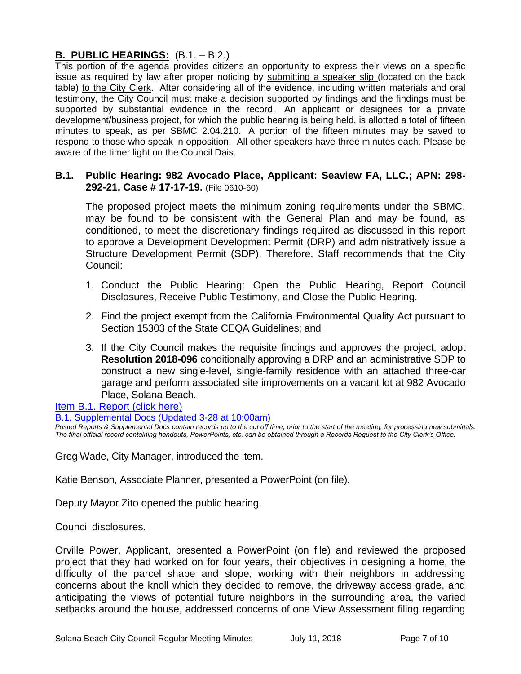# **B. PUBLIC HEARINGS:** (B.1. – B.2.)

This portion of the agenda provides citizens an opportunity to express their views on a specific issue as required by law after proper noticing by submitting a speaker slip (located on the back table) to the City Clerk. After considering all of the evidence, including written materials and oral testimony, the City Council must make a decision supported by findings and the findings must be supported by substantial evidence in the record. An applicant or designees for a private development/business project, for which the public hearing is being held, is allotted a total of fifteen minutes to speak, as per SBMC 2.04.210. A portion of the fifteen minutes may be saved to respond to those who speak in opposition. All other speakers have three minutes each. Please be aware of the timer light on the Council Dais.

# **B.1. Public Hearing: 982 Avocado Place, Applicant: Seaview FA, LLC.; APN: 298- 292-21, Case # 17-17-19.** (File 0610-60)

The proposed project meets the minimum zoning requirements under the SBMC, may be found to be consistent with the General Plan and may be found, as conditioned, to meet the discretionary findings required as discussed in this report to approve a Development Development Permit (DRP) and administratively issue a Structure Development Permit (SDP). Therefore, Staff recommends that the City Council:

- 1. Conduct the Public Hearing: Open the Public Hearing, Report Council Disclosures, Receive Public Testimony, and Close the Public Hearing.
- 2. Find the project exempt from the California Environmental Quality Act pursuant to Section 15303 of the State CEQA Guidelines; and
- 3. If the City Council makes the requisite findings and approves the project, adopt **Resolution 2018-096** conditionally approving a DRP and an administrative SDP to construct a new single-level, single-family residence with an attached three-car garage and perform associated site improvements on a vacant lot at 982 Avocado Place, Solana Beach.

# [Item B.1. Report \(click here\)](https://solanabeach.govoffice3.com/vertical/Sites/%7B840804C2-F869-4904-9AE3-720581350CE7%7D/uploads/Item_B.1._Report_(click_here)_-_07-11-18_-_R_(reduced).pdf)

#### [B.1. Supplemental Docs \(Updated 3-28 at 10:00am\)](https://solanabeach.govoffice3.com/vertical/Sites/%7B840804C2-F869-4904-9AE3-720581350CE7%7D/uploads/B.1._Supplemental_Doc_(7-11_230pm)_.pdf)

*Posted Reports & Supplemental Docs contain records up to the cut off time, prior to the start of the meeting, for processing new submittals. The final official record containing handouts, PowerPoints, etc. can be obtained through a Records Request to the City Clerk's Office.*

Greg Wade, City Manager, introduced the item.

Katie Benson, Associate Planner, presented a PowerPoint (on file).

Deputy Mayor Zito opened the public hearing.

Council disclosures.

Orville Power, Applicant, presented a PowerPoint (on file) and reviewed the proposed project that they had worked on for four years, their objectives in designing a home, the difficulty of the parcel shape and slope, working with their neighbors in addressing concerns about the knoll which they decided to remove, the driveway access grade, and anticipating the views of potential future neighbors in the surrounding area, the varied setbacks around the house, addressed concerns of one View Assessment filing regarding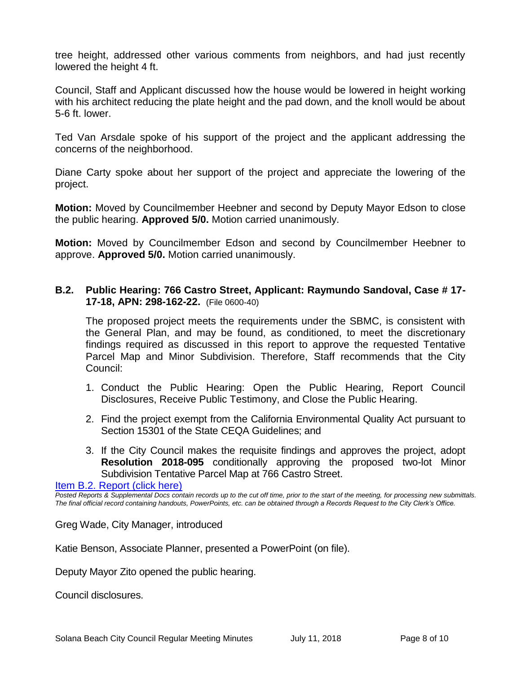tree height, addressed other various comments from neighbors, and had just recently lowered the height 4 ft.

Council, Staff and Applicant discussed how the house would be lowered in height working with his architect reducing the plate height and the pad down, and the knoll would be about 5-6 ft. lower.

Ted Van Arsdale spoke of his support of the project and the applicant addressing the concerns of the neighborhood.

Diane Carty spoke about her support of the project and appreciate the lowering of the project.

**Motion:** Moved by Councilmember Heebner and second by Deputy Mayor Edson to close the public hearing. **Approved 5/0.** Motion carried unanimously.

**Motion:** Moved by Councilmember Edson and second by Councilmember Heebner to approve. **Approved 5/0.** Motion carried unanimously.

# **B.2. Public Hearing: 766 Castro Street, Applicant: Raymundo Sandoval, Case # 17- 17-18, APN: 298-162-22.** (File 0600-40)

The proposed project meets the requirements under the SBMC, is consistent with the General Plan, and may be found, as conditioned, to meet the discretionary findings required as discussed in this report to approve the requested Tentative Parcel Map and Minor Subdivision. Therefore, Staff recommends that the City Council:

- 1. Conduct the Public Hearing: Open the Public Hearing, Report Council Disclosures, Receive Public Testimony, and Close the Public Hearing.
- 2. Find the project exempt from the California Environmental Quality Act pursuant to Section 15301 of the State CEQA Guidelines; and
- 3. If the City Council makes the requisite findings and approves the project, adopt **Resolution 2018-095** conditionally approving the proposed two-lot Minor Subdivision Tentative Parcel Map at 766 Castro Street.

# [Item B.2. Report \(click here\)](https://solanabeach.govoffice3.com/vertical/Sites/%7B840804C2-F869-4904-9AE3-720581350CE7%7D/uploads/Item_B.2._Report_(click_here)_-_07-11-18.PDF)

*Posted Reports & Supplemental Docs contain records up to the cut off time, prior to the start of the meeting, for processing new submittals. The final official record containing handouts, PowerPoints, etc. can be obtained through a Records Request to the City Clerk's Office.*

Greg Wade, City Manager, introduced

Katie Benson, Associate Planner, presented a PowerPoint (on file).

Deputy Mayor Zito opened the public hearing.

Council disclosures.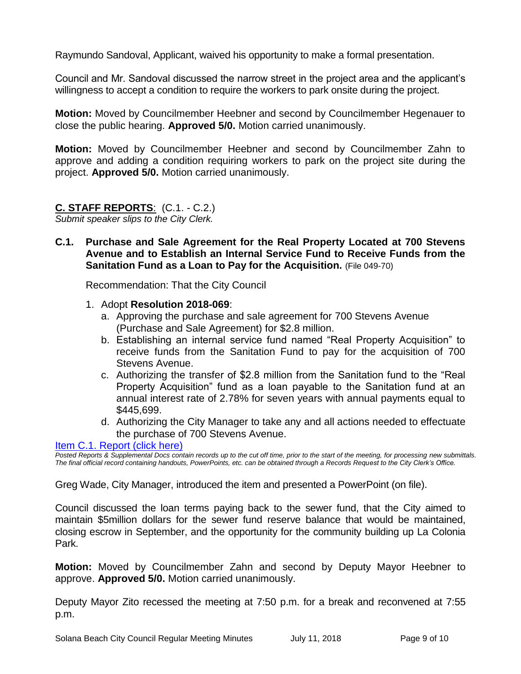Raymundo Sandoval, Applicant, waived his opportunity to make a formal presentation.

Council and Mr. Sandoval discussed the narrow street in the project area and the applicant's willingness to accept a condition to require the workers to park onsite during the project.

**Motion:** Moved by Councilmember Heebner and second by Councilmember Hegenauer to close the public hearing. **Approved 5/0.** Motion carried unanimously.

**Motion:** Moved by Councilmember Heebner and second by Councilmember Zahn to approve and adding a condition requiring workers to park on the project site during the project. **Approved 5/0.** Motion carried unanimously.

# **C. STAFF REPORTS**: (C.1. - C.2.)

*Submit speaker slips to the City Clerk.*

**C.1. Purchase and Sale Agreement for the Real Property Located at 700 Stevens Avenue and to Establish an Internal Service Fund to Receive Funds from the Sanitation Fund as a Loan to Pay for the Acquisition.** (File 049-70)

Recommendation: That the City Council

- 1. Adopt **Resolution 2018-069**:
	- a. Approving the purchase and sale agreement for 700 Stevens Avenue (Purchase and Sale Agreement) for \$2.8 million.
	- b. Establishing an internal service fund named "Real Property Acquisition" to receive funds from the Sanitation Fund to pay for the acquisition of 700 Stevens Avenue.
	- c. Authorizing the transfer of \$2.8 million from the Sanitation fund to the "Real Property Acquisition" fund as a loan payable to the Sanitation fund at an annual interest rate of 2.78% for seven years with annual payments equal to \$445,699.
	- d. Authorizing the City Manager to take any and all actions needed to effectuate the purchase of 700 Stevens Avenue.

[Item C.1. Report \(click here\)](https://solanabeach.govoffice3.com/vertical/Sites/%7B840804C2-F869-4904-9AE3-720581350CE7%7D/uploads/Item_C.1._Report_(click_here)_-_07-11-18.PDF)

*Posted Reports & Supplemental Docs contain records up to the cut off time, prior to the start of the meeting, for processing new submittals. The final official record containing handouts, PowerPoints, etc. can be obtained through a Records Request to the City Clerk's Office.*

Greg Wade, City Manager, introduced the item and presented a PowerPoint (on file).

Council discussed the loan terms paying back to the sewer fund, that the City aimed to maintain \$5million dollars for the sewer fund reserve balance that would be maintained, closing escrow in September, and the opportunity for the community building up La Colonia Park.

**Motion:** Moved by Councilmember Zahn and second by Deputy Mayor Heebner to approve. **Approved 5/0.** Motion carried unanimously.

Deputy Mayor Zito recessed the meeting at 7:50 p.m. for a break and reconvened at 7:55 p.m.